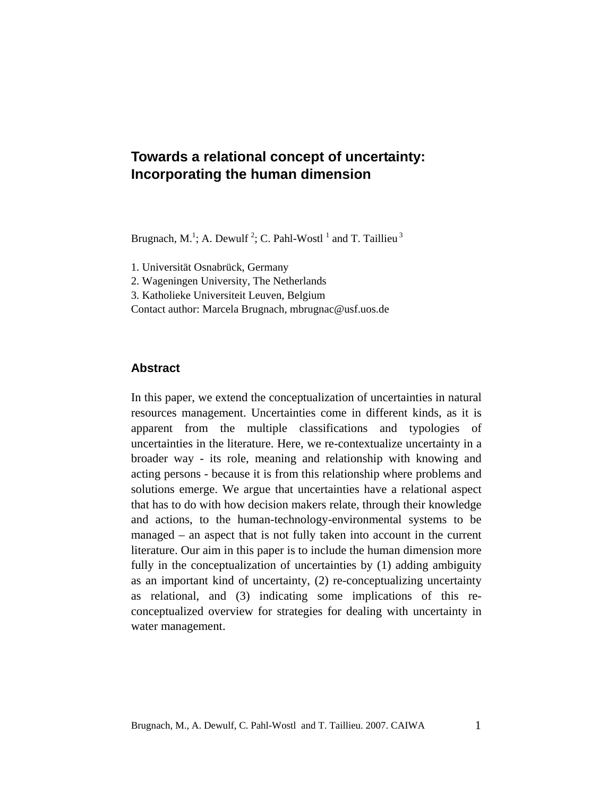# **Towards a relational concept of uncertainty: Incorporating the human dimension**

Brugnach, M.<sup>1</sup>; A. Dewulf<sup>2</sup>; C. Pahl-Wostl<sup>1</sup> and T. Taillieu<sup>3</sup>

1. Universität Osnabrück, Germany

2. Wageningen University, The Netherlands

3. Katholieke Universiteit Leuven, Belgium

Contact author: Marcela Brugnach, mbrugnac@usf.uos.de

### **Abstract**

In this paper, we extend the conceptualization of uncertainties in natural resources management. Uncertainties come in different kinds, as it is apparent from the multiple classifications and typologies of uncertainties in the literature. Here, we re-contextualize uncertainty in a broader way - its role, meaning and relationship with knowing and acting persons - because it is from this relationship where problems and solutions emerge. We argue that uncertainties have a relational aspect that has to do with how decision makers relate, through their knowledge and actions, to the human-technology-environmental systems to be managed – an aspect that is not fully taken into account in the current literature. Our aim in this paper is to include the human dimension more fully in the conceptualization of uncertainties by (1) adding ambiguity as an important kind of uncertainty, (2) re-conceptualizing uncertainty as relational, and (3) indicating some implications of this reconceptualized overview for strategies for dealing with uncertainty in water management.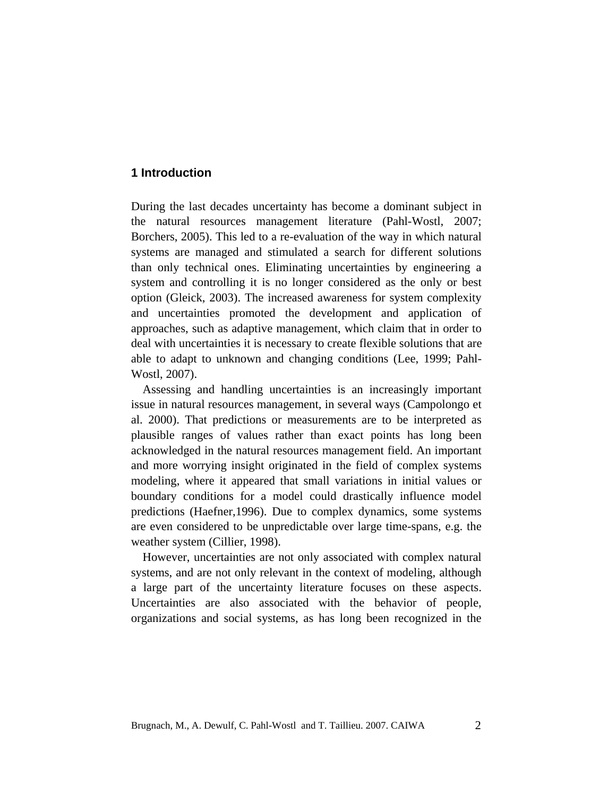## **1 Introduction**

During the last decades uncertainty has become a dominant subject in the natural resources management literature (Pahl-Wostl, 2007; Borchers, 2005). This led to a re-evaluation of the way in which natural systems are managed and stimulated a search for different solutions than only technical ones. Eliminating uncertainties by engineering a system and controlling it is no longer considered as the only or best option (Gleick, 2003). The increased awareness for system complexity and uncertainties promoted the development and application of approaches, such as adaptive management, which claim that in order to deal with uncertainties it is necessary to create flexible solutions that are able to adapt to unknown and changing conditions (Lee, 1999; Pahl-Wostl, 2007).

Assessing and handling uncertainties is an increasingly important issue in natural resources management, in several ways (Campolongo et al. 2000). That predictions or measurements are to be interpreted as plausible ranges of values rather than exact points has long been acknowledged in the natural resources management field. An important and more worrying insight originated in the field of complex systems modeling, where it appeared that small variations in initial values or boundary conditions for a model could drastically influence model predictions (Haefner,1996). Due to complex dynamics, some systems are even considered to be unpredictable over large time-spans, e.g. the weather system (Cillier, 1998).

However, uncertainties are not only associated with complex natural systems, and are not only relevant in the context of modeling, although a large part of the uncertainty literature focuses on these aspects. Uncertainties are also associated with the behavior of people, organizations and social systems, as has long been recognized in the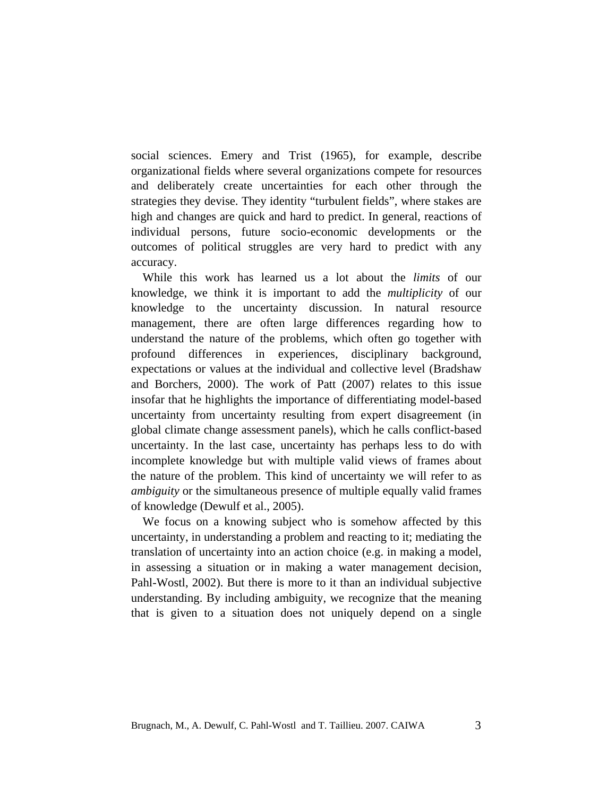social sciences. Emery and Trist (1965), for example, describe organizational fields where several organizations compete for resources and deliberately create uncertainties for each other through the strategies they devise. They identity "turbulent fields", where stakes are high and changes are quick and hard to predict. In general, reactions of individual persons, future socio-economic developments or the outcomes of political struggles are very hard to predict with any accuracy.

While this work has learned us a lot about the *limits* of our knowledge, we think it is important to add the *multiplicity* of our knowledge to the uncertainty discussion. In natural resource management, there are often large differences regarding how to understand the nature of the problems, which often go together with profound differences in experiences, disciplinary background, expectations or values at the individual and collective level (Bradshaw and Borchers, 2000). The work of Patt (2007) relates to this issue insofar that he highlights the importance of differentiating model-based uncertainty from uncertainty resulting from expert disagreement (in global climate change assessment panels), which he calls conflict-based uncertainty. In the last case, uncertainty has perhaps less to do with incomplete knowledge but with multiple valid views of frames about the nature of the problem. This kind of uncertainty we will refer to as *ambiguity* or the simultaneous presence of multiple equally valid frames of knowledge (Dewulf et al., 2005).

We focus on a knowing subject who is somehow affected by this uncertainty, in understanding a problem and reacting to it; mediating the translation of uncertainty into an action choice (e.g. in making a model, in assessing a situation or in making a water management decision, Pahl-Wostl, 2002). But there is more to it than an individual subjective understanding. By including ambiguity, we recognize that the meaning that is given to a situation does not uniquely depend on a single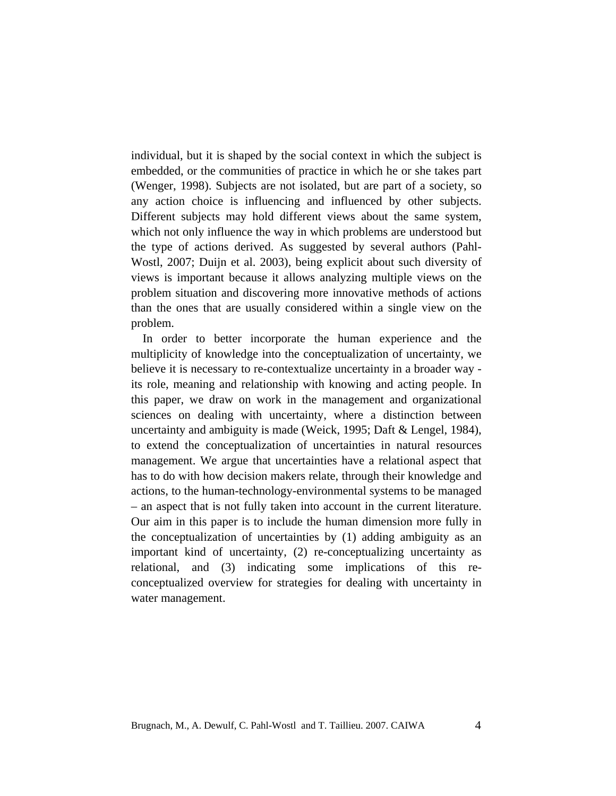individual, but it is shaped by the social context in which the subject is embedded, or the communities of practice in which he or she takes part (Wenger, 1998). Subjects are not isolated, but are part of a society, so any action choice is influencing and influenced by other subjects. Different subjects may hold different views about the same system, which not only influence the way in which problems are understood but the type of actions derived. As suggested by several authors (Pahl-Wostl, 2007; Duijn et al. 2003), being explicit about such diversity of views is important because it allows analyzing multiple views on the problem situation and discovering more innovative methods of actions than the ones that are usually considered within a single view on the problem.

In order to better incorporate the human experience and the multiplicity of knowledge into the conceptualization of uncertainty, we believe it is necessary to re-contextualize uncertainty in a broader way its role, meaning and relationship with knowing and acting people. In this paper, we draw on work in the management and organizational sciences on dealing with uncertainty, where a distinction between uncertainty and ambiguity is made (Weick, 1995; Daft & Lengel, 1984), to extend the conceptualization of uncertainties in natural resources management. We argue that uncertainties have a relational aspect that has to do with how decision makers relate, through their knowledge and actions, to the human-technology-environmental systems to be managed – an aspect that is not fully taken into account in the current literature. Our aim in this paper is to include the human dimension more fully in the conceptualization of uncertainties by (1) adding ambiguity as an important kind of uncertainty, (2) re-conceptualizing uncertainty as relational, and (3) indicating some implications of this reconceptualized overview for strategies for dealing with uncertainty in water management.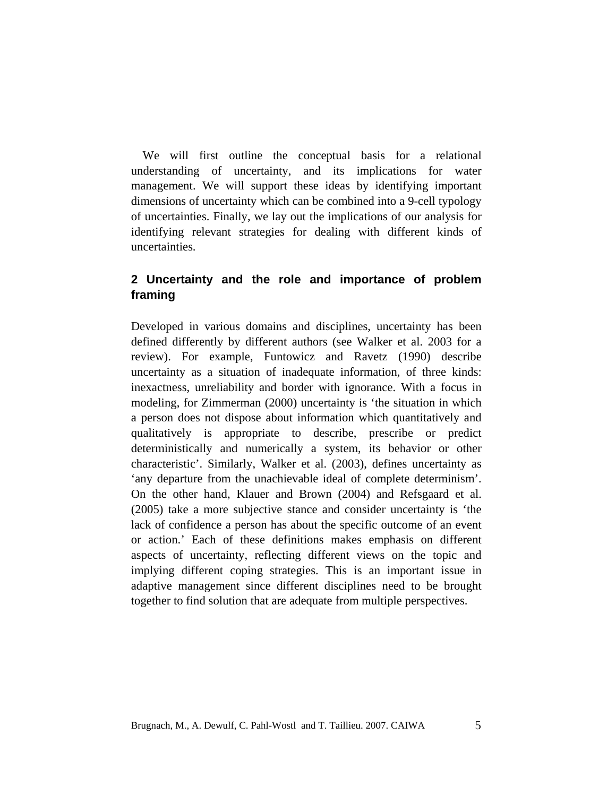We will first outline the conceptual basis for a relational understanding of uncertainty, and its implications for water management. We will support these ideas by identifying important dimensions of uncertainty which can be combined into a 9-cell typology of uncertainties. Finally, we lay out the implications of our analysis for identifying relevant strategies for dealing with different kinds of uncertainties.

# **2 Uncertainty and the role and importance of problem framing**

Developed in various domains and disciplines, uncertainty has been defined differently by different authors (see Walker et al. 2003 for a review). For example, Funtowicz and Ravetz (1990) describe uncertainty as a situation of inadequate information, of three kinds: inexactness, unreliability and border with ignorance. With a focus in modeling, for Zimmerman (2000) uncertainty is 'the situation in which a person does not dispose about information which quantitatively and qualitatively is appropriate to describe, prescribe or predict deterministically and numerically a system, its behavior or other characteristic'. Similarly, Walker et al. (2003), defines uncertainty as 'any departure from the unachievable ideal of complete determinism'. On the other hand, Klauer and Brown (2004) and Refsgaard et al. (2005) take a more subjective stance and consider uncertainty is 'the lack of confidence a person has about the specific outcome of an event or action.' Each of these definitions makes emphasis on different aspects of uncertainty, reflecting different views on the topic and implying different coping strategies. This is an important issue in adaptive management since different disciplines need to be brought together to find solution that are adequate from multiple perspectives.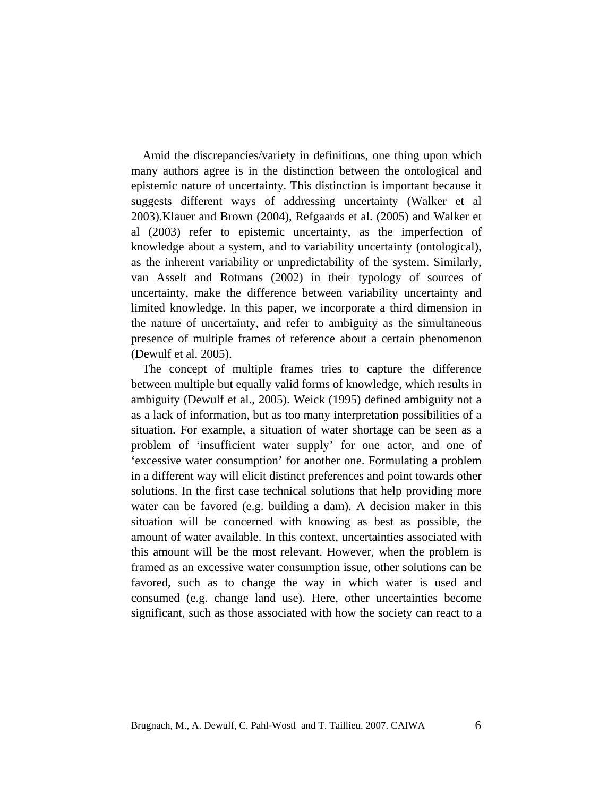Amid the discrepancies/variety in definitions, one thing upon which many authors agree is in the distinction between the ontological and epistemic nature of uncertainty. This distinction is important because it suggests different ways of addressing uncertainty (Walker et al 2003).Klauer and Brown (2004), Refgaards et al. (2005) and Walker et al (2003) refer to epistemic uncertainty, as the imperfection of knowledge about a system, and to variability uncertainty (ontological), as the inherent variability or unpredictability of the system. Similarly, van Asselt and Rotmans (2002) in their typology of sources of uncertainty, make the difference between variability uncertainty and limited knowledge. In this paper, we incorporate a third dimension in the nature of uncertainty, and refer to ambiguity as the simultaneous presence of multiple frames of reference about a certain phenomenon (Dewulf et al. 2005).

The concept of multiple frames tries to capture the difference between multiple but equally valid forms of knowledge, which results in ambiguity (Dewulf et al., 2005). Weick (1995) defined ambiguity not a as a lack of information, but as too many interpretation possibilities of a situation. For example, a situation of water shortage can be seen as a problem of 'insufficient water supply' for one actor, and one of 'excessive water consumption' for another one. Formulating a problem in a different way will elicit distinct preferences and point towards other solutions. In the first case technical solutions that help providing more water can be favored (e.g. building a dam). A decision maker in this situation will be concerned with knowing as best as possible, the amount of water available. In this context, uncertainties associated with this amount will be the most relevant. However, when the problem is framed as an excessive water consumption issue, other solutions can be favored, such as to change the way in which water is used and consumed (e.g. change land use). Here, other uncertainties become significant, such as those associated with how the society can react to a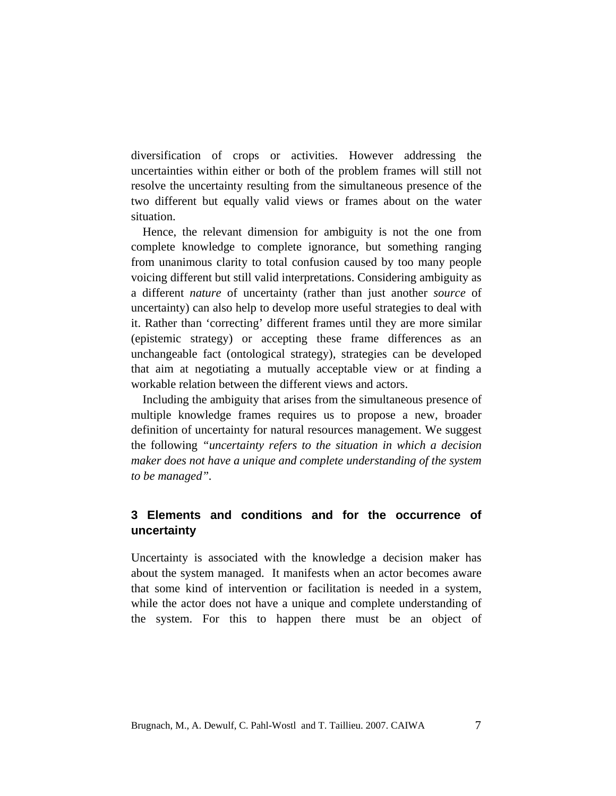diversification of crops or activities. However addressing the uncertainties within either or both of the problem frames will still not resolve the uncertainty resulting from the simultaneous presence of the two different but equally valid views or frames about on the water situation.

Hence, the relevant dimension for ambiguity is not the one from complete knowledge to complete ignorance, but something ranging from unanimous clarity to total confusion caused by too many people voicing different but still valid interpretations. Considering ambiguity as a different *nature* of uncertainty (rather than just another *source* of uncertainty) can also help to develop more useful strategies to deal with it. Rather than 'correcting' different frames until they are more similar (epistemic strategy) or accepting these frame differences as an unchangeable fact (ontological strategy), strategies can be developed that aim at negotiating a mutually acceptable view or at finding a workable relation between the different views and actors.

Including the ambiguity that arises from the simultaneous presence of multiple knowledge frames requires us to propose a new, broader definition of uncertainty for natural resources management. We suggest the following *"uncertainty refers to the situation in which a decision maker does not have a unique and complete understanding of the system to be managed".* 

# **3 Elements and conditions and for the occurrence of uncertainty**

Uncertainty is associated with the knowledge a decision maker has about the system managed. It manifests when an actor becomes aware that some kind of intervention or facilitation is needed in a system, while the actor does not have a unique and complete understanding of the system. For this to happen there must be an object of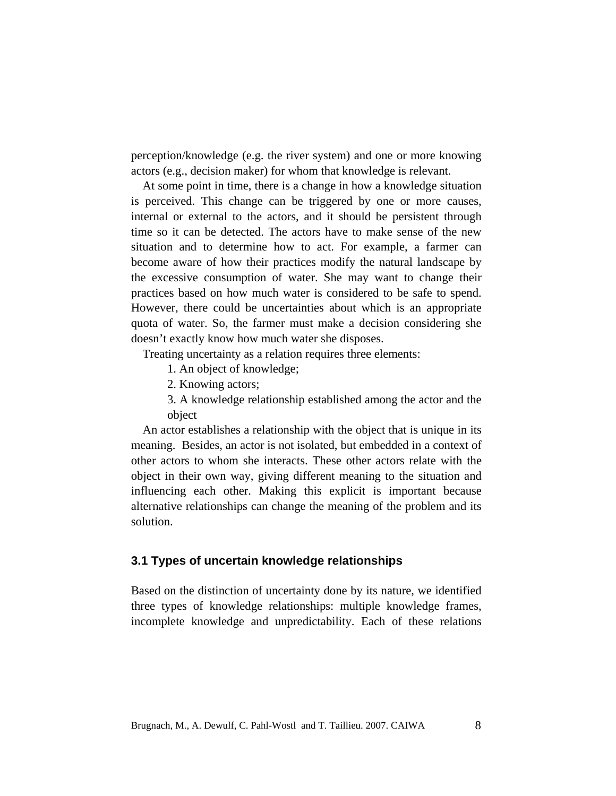perception/knowledge (e.g. the river system) and one or more knowing actors (e.g., decision maker) for whom that knowledge is relevant.

At some point in time, there is a change in how a knowledge situation is perceived. This change can be triggered by one or more causes, internal or external to the actors, and it should be persistent through time so it can be detected. The actors have to make sense of the new situation and to determine how to act. For example, a farmer can become aware of how their practices modify the natural landscape by the excessive consumption of water. She may want to change their practices based on how much water is considered to be safe to spend. However, there could be uncertainties about which is an appropriate quota of water. So, the farmer must make a decision considering she doesn't exactly know how much water she disposes.

Treating uncertainty as a relation requires three elements:

1. An object of knowledge;

2. Knowing actors;

3. A knowledge relationship established among the actor and the object

An actor establishes a relationship with the object that is unique in its meaning. Besides, an actor is not isolated, but embedded in a context of other actors to whom she interacts. These other actors relate with the object in their own way, giving different meaning to the situation and influencing each other. Making this explicit is important because alternative relationships can change the meaning of the problem and its solution.

## **3.1 Types of uncertain knowledge relationships**

Based on the distinction of uncertainty done by its nature, we identified three types of knowledge relationships: multiple knowledge frames, incomplete knowledge and unpredictability. Each of these relations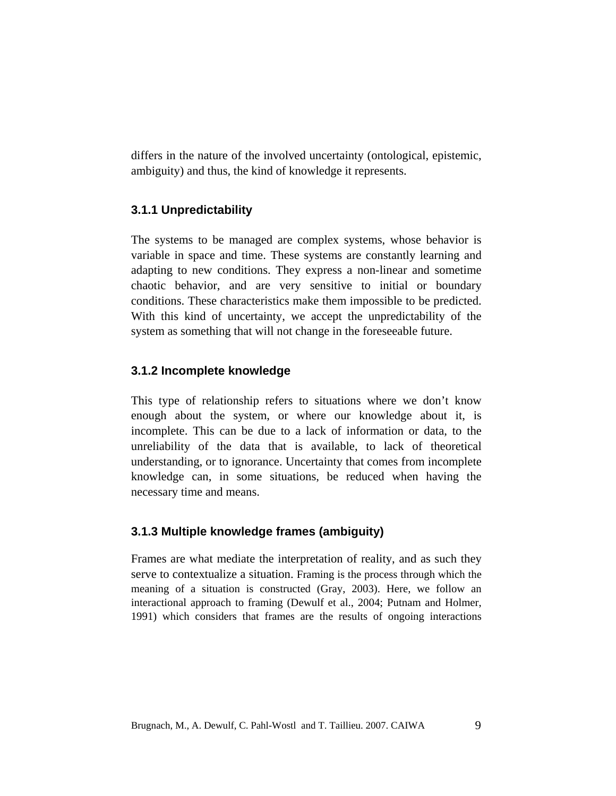differs in the nature of the involved uncertainty (ontological, epistemic, ambiguity) and thus, the kind of knowledge it represents.

# **3.1.1 Unpredictability**

The systems to be managed are complex systems, whose behavior is variable in space and time. These systems are constantly learning and adapting to new conditions. They express a non-linear and sometime chaotic behavior, and are very sensitive to initial or boundary conditions. These characteristics make them impossible to be predicted. With this kind of uncertainty, we accept the unpredictability of the system as something that will not change in the foreseeable future.

# **3.1.2 Incomplete knowledge**

This type of relationship refers to situations where we don't know enough about the system, or where our knowledge about it, is incomplete. This can be due to a lack of information or data, to the unreliability of the data that is available, to lack of theoretical understanding, or to ignorance. Uncertainty that comes from incomplete knowledge can, in some situations, be reduced when having the necessary time and means.

# **3.1.3 Multiple knowledge frames (ambiguity)**

Frames are what mediate the interpretation of reality, and as such they serve to contextualize a situation. Framing is the process through which the meaning of a situation is constructed (Gray, 2003). Here, we follow an interactional approach to framing (Dewulf et al., 2004; Putnam and Holmer, 1991) which considers that frames are the results of ongoing interactions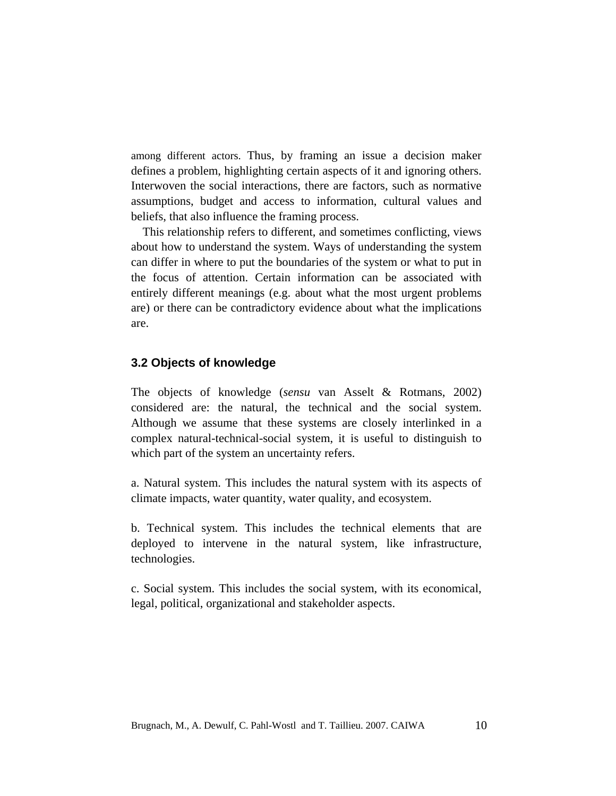among different actors. Thus, by framing an issue a decision maker defines a problem, highlighting certain aspects of it and ignoring others. Interwoven the social interactions, there are factors, such as normative assumptions, budget and access to information, cultural values and beliefs, that also influence the framing process.

This relationship refers to different, and sometimes conflicting, views about how to understand the system. Ways of understanding the system can differ in where to put the boundaries of the system or what to put in the focus of attention. Certain information can be associated with entirely different meanings (e.g. about what the most urgent problems are) or there can be contradictory evidence about what the implications are.

## **3.2 Objects of knowledge**

The objects of knowledge (*sensu* van Asselt & Rotmans, 2002) considered are: the natural, the technical and the social system. Although we assume that these systems are closely interlinked in a complex natural-technical-social system, it is useful to distinguish to which part of the system an uncertainty refers.

a. Natural system. This includes the natural system with its aspects of climate impacts, water quantity, water quality, and ecosystem.

b. Technical system. This includes the technical elements that are deployed to intervene in the natural system, like infrastructure, technologies.

c. Social system. This includes the social system, with its economical, legal, political, organizational and stakeholder aspects.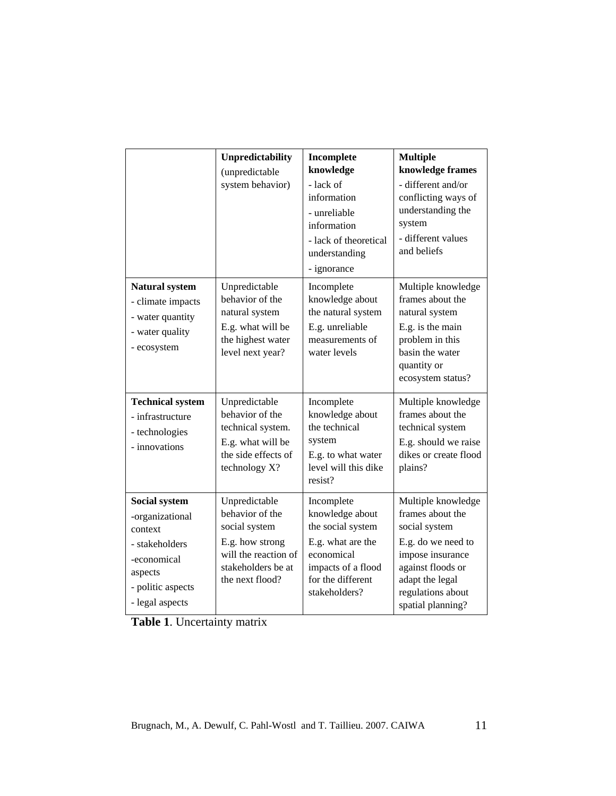|                                                                                                                                 | Unpredictability<br>(unpredictable<br>system behavior)                                                                                | Incomplete<br>knowledge<br>- lack of<br>information<br>- unreliable<br>information<br>- lack of theoretical<br>understanding<br>- ignorance       | <b>Multiple</b><br>knowledge frames<br>- different and/or<br>conflicting ways of<br>understanding the<br>system<br>- different values<br>and beliefs                                |
|---------------------------------------------------------------------------------------------------------------------------------|---------------------------------------------------------------------------------------------------------------------------------------|---------------------------------------------------------------------------------------------------------------------------------------------------|-------------------------------------------------------------------------------------------------------------------------------------------------------------------------------------|
| <b>Natural system</b><br>- climate impacts<br>- water quantity<br>- water quality<br>- ecosystem                                | Unpredictable<br>behavior of the<br>natural system<br>E.g. what will be<br>the highest water<br>level next year?                      | Incomplete<br>knowledge about<br>the natural system<br>E.g. unreliable<br>measurements of<br>water levels                                         | Multiple knowledge<br>frames about the<br>natural system<br>E.g. is the main<br>problem in this<br>basin the water<br>quantity or<br>ecosystem status?                              |
| <b>Technical system</b><br>- infrastructure<br>- technologies<br>- innovations                                                  | Unpredictable<br>behavior of the<br>technical system.<br>E.g. what will be<br>the side effects of<br>technology X?                    | Incomplete<br>knowledge about<br>the technical<br>system<br>E.g. to what water<br>level will this dike<br>resist?                                 | Multiple knowledge<br>frames about the<br>technical system<br>E.g. should we raise<br>dikes or create flood<br>plains?                                                              |
| Social system<br>-organizational<br>context<br>- stakeholders<br>-economical<br>aspects<br>- politic aspects<br>- legal aspects | Unpredictable<br>behavior of the<br>social system<br>E.g. how strong<br>will the reaction of<br>stakeholders be at<br>the next flood? | Incomplete<br>knowledge about<br>the social system<br>E.g. what are the<br>economical<br>impacts of a flood<br>for the different<br>stakeholders? | Multiple knowledge<br>frames about the<br>social system<br>E.g. do we need to<br>impose insurance<br>against floods or<br>adapt the legal<br>regulations about<br>spatial planning? |

**Table 1**. Uncertainty matrix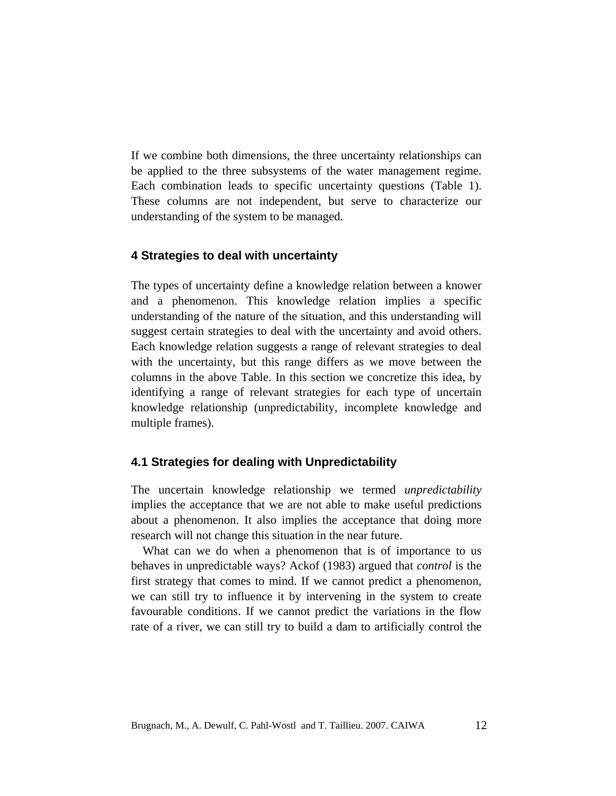If we combine both dimensions, the three uncertainty relationships can be applied to the three subsystems of the water management regime. Each combination leads to specific uncertainty questions (Table 1). These columns are not independent, but serve to characterize our understanding of the system to be managed.

## **4 Strategies to deal with uncertainty**

The types of uncertainty define a knowledge relation between a knower and a phenomenon. This knowledge relation implies a specific understanding of the nature of the situation, and this understanding will suggest certain strategies to deal with the uncertainty and avoid others. Each knowledge relation suggests a range of relevant strategies to deal with the uncertainty, but this range differs as we move between the columns in the above Table. In this section we concretize this idea, by identifying a range of relevant strategies for each type of uncertain knowledge relationship (unpredictability, incomplete knowledge and multiple frames).

#### **4.1 Strategies for dealing with Unpredictability**

The uncertain knowledge relationship we termed *unpredictability* implies the acceptance that we are not able to make useful predictions about a phenomenon. It also implies the acceptance that doing more research will not change this situation in the near future.

What can we do when a phenomenon that is of importance to us behaves in unpredictable ways? Ackof (1983) argued that *control* is the first strategy that comes to mind. If we cannot predict a phenomenon, we can still try to influence it by intervening in the system to create favourable conditions. If we cannot predict the variations in the flow rate of a river, we can still try to build a dam to artificially control the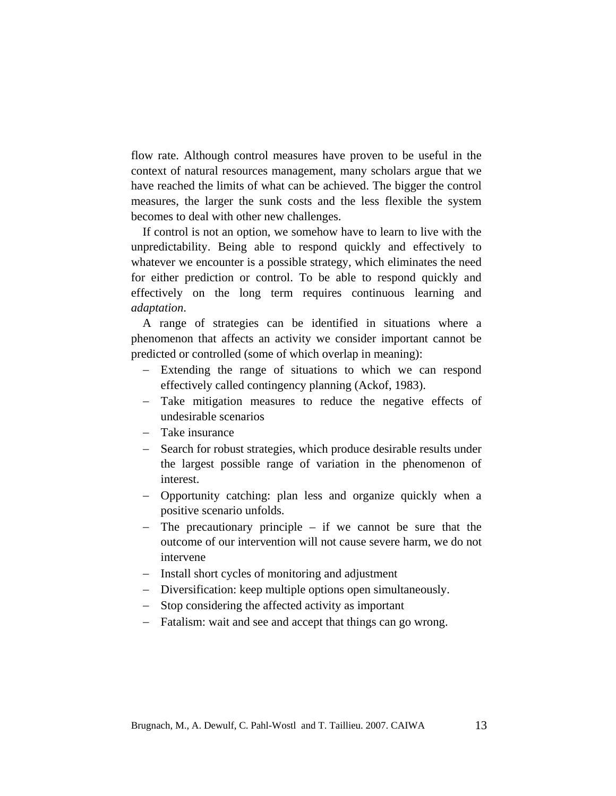flow rate. Although control measures have proven to be useful in the context of natural resources management, many scholars argue that we have reached the limits of what can be achieved. The bigger the control measures, the larger the sunk costs and the less flexible the system becomes to deal with other new challenges.

If control is not an option, we somehow have to learn to live with the unpredictability. Being able to respond quickly and effectively to whatever we encounter is a possible strategy, which eliminates the need for either prediction or control. To be able to respond quickly and effectively on the long term requires continuous learning and *adaptation*.

A range of strategies can be identified in situations where a phenomenon that affects an activity we consider important cannot be predicted or controlled (some of which overlap in meaning):

- − Extending the range of situations to which we can respond effectively called contingency planning (Ackof, 1983).
- − Take mitigation measures to reduce the negative effects of undesirable scenarios
- − Take insurance
- − Search for robust strategies, which produce desirable results under the largest possible range of variation in the phenomenon of interest.
- − Opportunity catching: plan less and organize quickly when a positive scenario unfolds.
- − The precautionary principle if we cannot be sure that the outcome of our intervention will not cause severe harm, we do not intervene
- − Install short cycles of monitoring and adjustment
- − Diversification: keep multiple options open simultaneously.
- − Stop considering the affected activity as important
- − Fatalism: wait and see and accept that things can go wrong.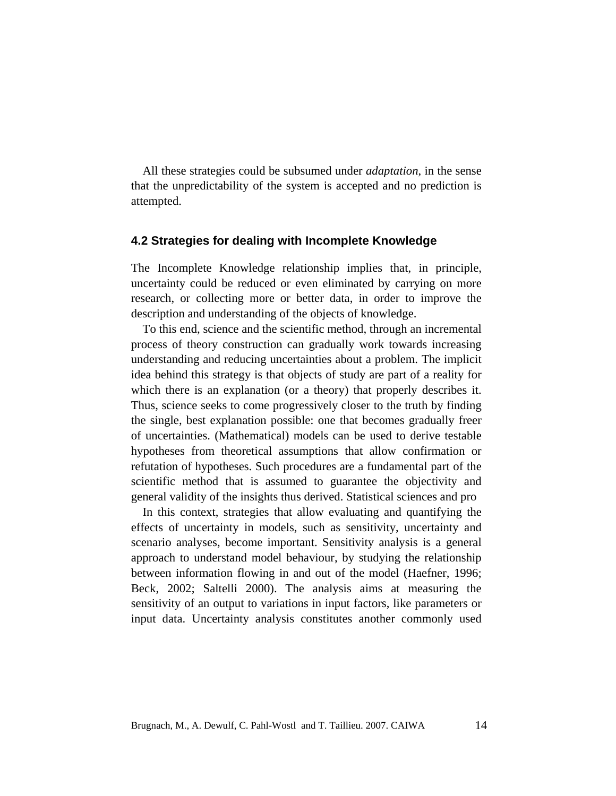All these strategies could be subsumed under *adaptation*, in the sense that the unpredictability of the system is accepted and no prediction is attempted.

## **4.2 Strategies for dealing with Incomplete Knowledge**

The Incomplete Knowledge relationship implies that, in principle, uncertainty could be reduced or even eliminated by carrying on more research, or collecting more or better data, in order to improve the description and understanding of the objects of knowledge.

To this end, science and the scientific method, through an incremental process of theory construction can gradually work towards increasing understanding and reducing uncertainties about a problem. The implicit idea behind this strategy is that objects of study are part of a reality for which there is an explanation (or a theory) that properly describes it. Thus, science seeks to come progressively closer to the truth by finding the single, best explanation possible: one that becomes gradually freer of uncertainties. (Mathematical) models can be used to derive testable hypotheses from theoretical assumptions that allow confirmation or refutation of hypotheses. Such procedures are a fundamental part of the scientific method that is assumed to guarantee the objectivity and general validity of the insights thus derived. Statistical sciences and pro

In this context, strategies that allow evaluating and quantifying the effects of uncertainty in models, such as sensitivity, uncertainty and scenario analyses, become important. Sensitivity analysis is a general approach to understand model behaviour, by studying the relationship between information flowing in and out of the model (Haefner, 1996; Beck, 2002; Saltelli 2000). The analysis aims at measuring the sensitivity of an output to variations in input factors, like parameters or input data. Uncertainty analysis constitutes another commonly used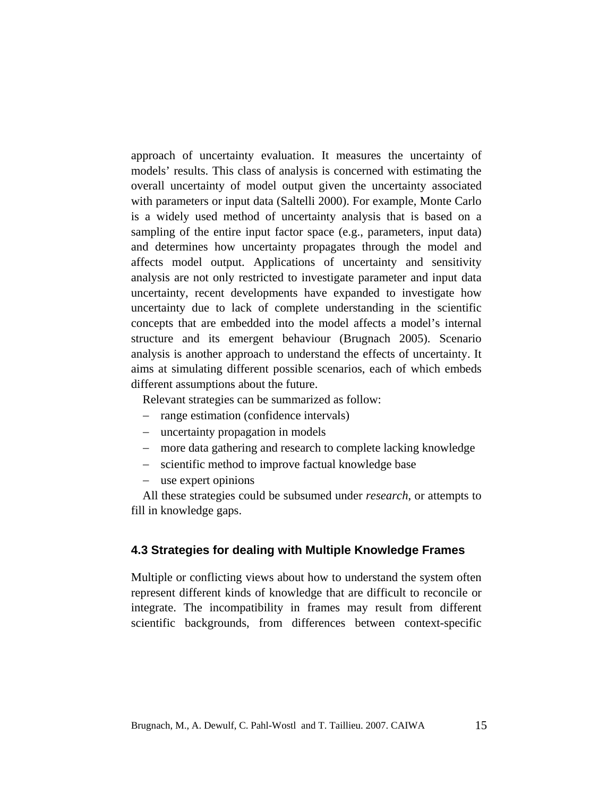approach of uncertainty evaluation. It measures the uncertainty of models' results. This class of analysis is concerned with estimating the overall uncertainty of model output given the uncertainty associated with parameters or input data (Saltelli 2000). For example, Monte Carlo is a widely used method of uncertainty analysis that is based on a sampling of the entire input factor space (e.g., parameters, input data) and determines how uncertainty propagates through the model and affects model output. Applications of uncertainty and sensitivity analysis are not only restricted to investigate parameter and input data uncertainty, recent developments have expanded to investigate how uncertainty due to lack of complete understanding in the scientific concepts that are embedded into the model affects a model's internal structure and its emergent behaviour (Brugnach 2005). Scenario analysis is another approach to understand the effects of uncertainty. It aims at simulating different possible scenarios, each of which embeds different assumptions about the future.

Relevant strategies can be summarized as follow:

- − range estimation (confidence intervals)
- − uncertainty propagation in models
- − more data gathering and research to complete lacking knowledge
- − scientific method to improve factual knowledge base
- − use expert opinions

All these strategies could be subsumed under *research*, or attempts to fill in knowledge gaps.

## **4.3 Strategies for dealing with Multiple Knowledge Frames**

Multiple or conflicting views about how to understand the system often represent different kinds of knowledge that are difficult to reconcile or integrate. The incompatibility in frames may result from different scientific backgrounds, from differences between context-specific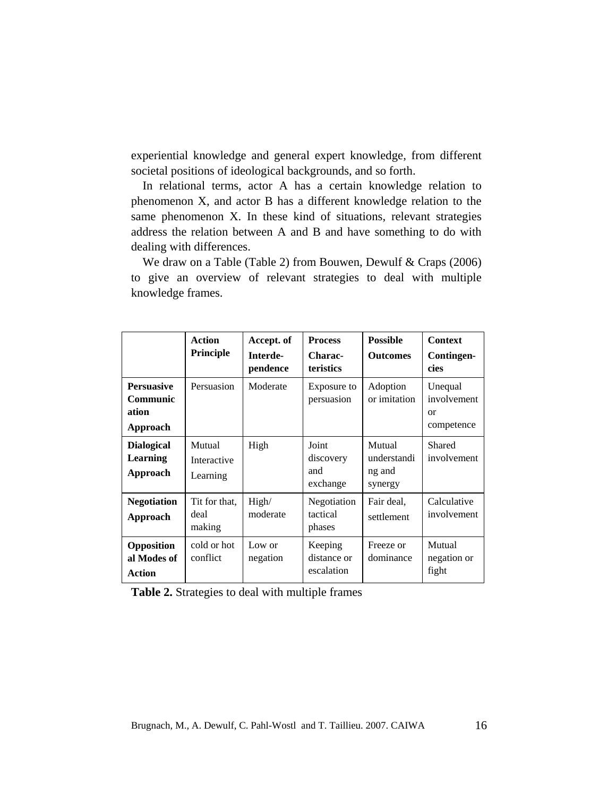experiential knowledge and general expert knowledge, from different societal positions of ideological backgrounds, and so forth.

In relational terms, actor A has a certain knowledge relation to phenomenon X, and actor B has a different knowledge relation to the same phenomenon X. In these kind of situations, relevant strategies address the relation between A and B and have something to do with dealing with differences.

We draw on a Table (Table 2) from Bouwen, Dewulf & Craps (2006) to give an overview of relevant strategies to deal with multiple knowledge frames.

|                                                    | <b>Action</b><br><b>Principle</b> | Accept. of<br>Interde-<br>pendence | <b>Process</b><br>Charac-<br>teristics | <b>Possible</b><br><b>Outcomes</b>         | <b>Context</b><br>Contingen-<br>cies       |
|----------------------------------------------------|-----------------------------------|------------------------------------|----------------------------------------|--------------------------------------------|--------------------------------------------|
| <b>Persuasive</b><br>Communic<br>ation<br>Approach | Persuasion                        | Moderate                           | Exposure to<br>persuasion              | Adoption<br>or imitation                   | Unequal<br>involvement<br>or<br>competence |
| <b>Dialogical</b><br><b>Learning</b><br>Approach   | Mutual<br>Interactive<br>Learning | High                               | Joint<br>discovery<br>and<br>exchange  | Mutual<br>understandi<br>ng and<br>synergy | Shared<br>involvement                      |
| <b>Negotiation</b><br>Approach                     | Tit for that.<br>deal<br>making   | High/<br>moderate                  | Negotiation<br>tactical<br>phases      | Fair deal,<br>settlement                   | Calculative<br>involvement                 |
| Opposition<br>al Modes of<br><b>Action</b>         | cold or hot<br>conflict           | Low or<br>negation                 | Keeping<br>distance or<br>escalation   | Freeze or<br>dominance                     | Mutual<br>negation or<br>fight             |

**Table 2.** Strategies to deal with multiple frames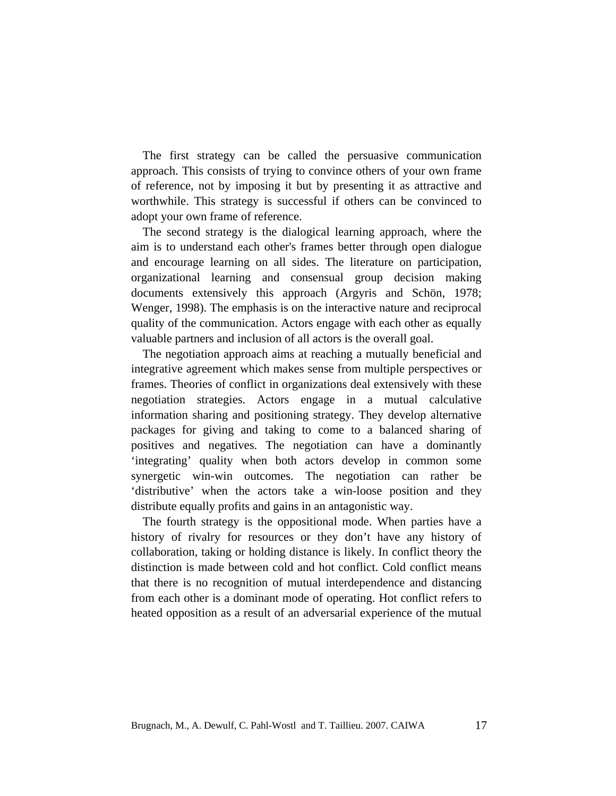The first strategy can be called the persuasive communication approach. This consists of trying to convince others of your own frame of reference, not by imposing it but by presenting it as attractive and worthwhile. This strategy is successful if others can be convinced to adopt your own frame of reference.

The second strategy is the dialogical learning approach, where the aim is to understand each other's frames better through open dialogue and encourage learning on all sides. The literature on participation, organizational learning and consensual group decision making documents extensively this approach (Argyris and Schön, 1978; Wenger, 1998). The emphasis is on the interactive nature and reciprocal quality of the communication. Actors engage with each other as equally valuable partners and inclusion of all actors is the overall goal.

The negotiation approach aims at reaching a mutually beneficial and integrative agreement which makes sense from multiple perspectives or frames. Theories of conflict in organizations deal extensively with these negotiation strategies. Actors engage in a mutual calculative information sharing and positioning strategy. They develop alternative packages for giving and taking to come to a balanced sharing of positives and negatives. The negotiation can have a dominantly 'integrating' quality when both actors develop in common some synergetic win-win outcomes. The negotiation can rather be 'distributive' when the actors take a win-loose position and they distribute equally profits and gains in an antagonistic way.

The fourth strategy is the oppositional mode. When parties have a history of rivalry for resources or they don't have any history of collaboration, taking or holding distance is likely. In conflict theory the distinction is made between cold and hot conflict. Cold conflict means that there is no recognition of mutual interdependence and distancing from each other is a dominant mode of operating. Hot conflict refers to heated opposition as a result of an adversarial experience of the mutual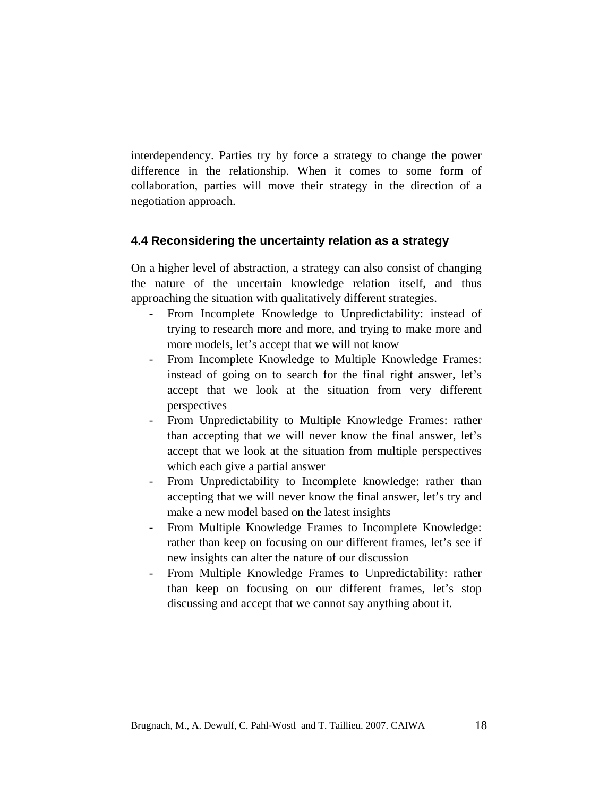interdependency. Parties try by force a strategy to change the power difference in the relationship. When it comes to some form of collaboration, parties will move their strategy in the direction of a negotiation approach.

## **4.4 Reconsidering the uncertainty relation as a strategy**

On a higher level of abstraction, a strategy can also consist of changing the nature of the uncertain knowledge relation itself, and thus approaching the situation with qualitatively different strategies.

- From Incomplete Knowledge to Unpredictability: instead of trying to research more and more, and trying to make more and more models, let's accept that we will not know
- From Incomplete Knowledge to Multiple Knowledge Frames: instead of going on to search for the final right answer, let's accept that we look at the situation from very different perspectives
- From Unpredictability to Multiple Knowledge Frames: rather than accepting that we will never know the final answer, let's accept that we look at the situation from multiple perspectives which each give a partial answer
- From Unpredictability to Incomplete knowledge: rather than accepting that we will never know the final answer, let's try and make a new model based on the latest insights
- From Multiple Knowledge Frames to Incomplete Knowledge: rather than keep on focusing on our different frames, let's see if new insights can alter the nature of our discussion
- From Multiple Knowledge Frames to Unpredictability: rather than keep on focusing on our different frames, let's stop discussing and accept that we cannot say anything about it.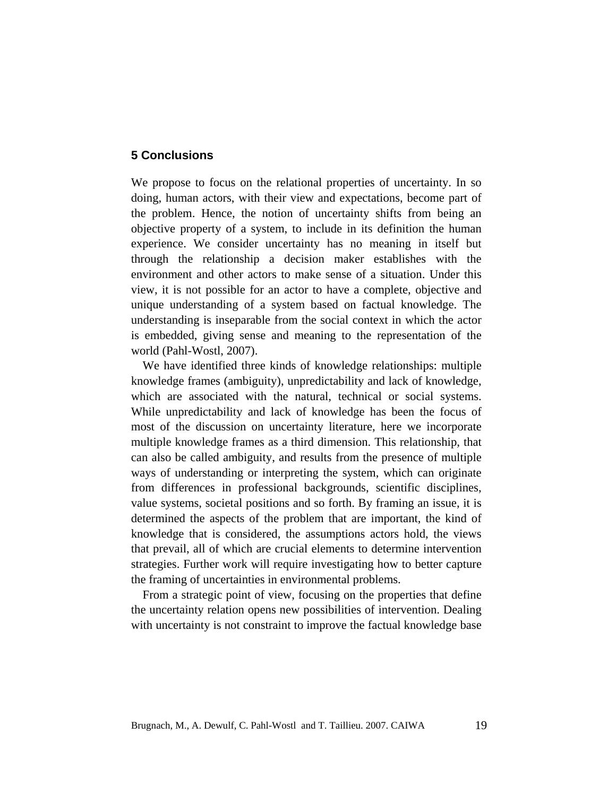# **5 Conclusions**

We propose to focus on the relational properties of uncertainty. In so doing, human actors, with their view and expectations, become part of the problem. Hence, the notion of uncertainty shifts from being an objective property of a system, to include in its definition the human experience. We consider uncertainty has no meaning in itself but through the relationship a decision maker establishes with the environment and other actors to make sense of a situation. Under this view, it is not possible for an actor to have a complete, objective and unique understanding of a system based on factual knowledge. The understanding is inseparable from the social context in which the actor is embedded, giving sense and meaning to the representation of the world (Pahl-Wostl, 2007).

We have identified three kinds of knowledge relationships: multiple knowledge frames (ambiguity), unpredictability and lack of knowledge, which are associated with the natural, technical or social systems. While unpredictability and lack of knowledge has been the focus of most of the discussion on uncertainty literature, here we incorporate multiple knowledge frames as a third dimension. This relationship, that can also be called ambiguity, and results from the presence of multiple ways of understanding or interpreting the system, which can originate from differences in professional backgrounds, scientific disciplines, value systems, societal positions and so forth. By framing an issue, it is determined the aspects of the problem that are important, the kind of knowledge that is considered, the assumptions actors hold, the views that prevail, all of which are crucial elements to determine intervention strategies. Further work will require investigating how to better capture the framing of uncertainties in environmental problems.

From a strategic point of view, focusing on the properties that define the uncertainty relation opens new possibilities of intervention. Dealing with uncertainty is not constraint to improve the factual knowledge base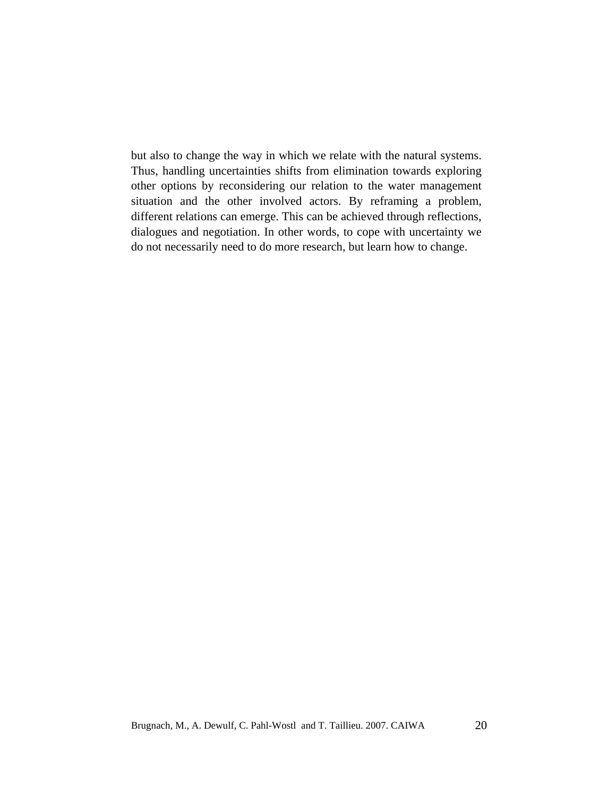but also to change the way in which we relate with the natural systems. Thus, handling uncertainties shifts from elimination towards exploring other options by reconsidering our relation to the water management situation and the other involved actors. By reframing a problem, different relations can emerge. This can be achieved through reflections, dialogues and negotiation. In other words, to cope with uncertainty we do not necessarily need to do more research, but learn how to change.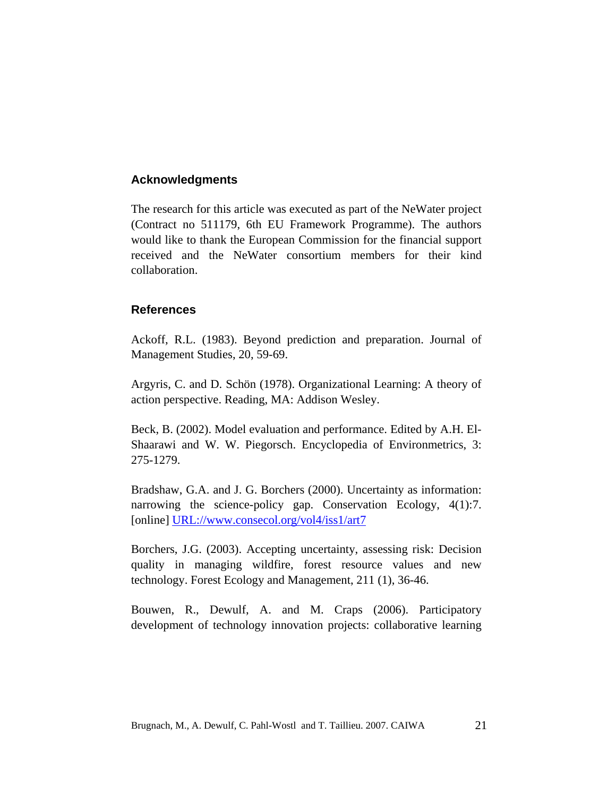# **Acknowledgments**

The research for this article was executed as part of the NeWater project (Contract no 511179, 6th EU Framework Programme). The authors would like to thank the European Commission for the financial support received and the NeWater consortium members for their kind collaboration.

# **References**

Ackoff, R.L. (1983). Beyond prediction and preparation. Journal of Management Studies, 20, 59-69.

Argyris, C. and D. Schön (1978). Organizational Learning: A theory of action perspective. Reading, MA: Addison Wesley.

Beck, B. (2002). Model evaluation and performance. Edited by A.H. El-Shaarawi and W. W. Piegorsch. Encyclopedia of Environmetrics, 3: 275-1279.

Bradshaw, G.A. and J. G. Borchers (2000). Uncertainty as information: narrowing the science-policy gap. Conservation Ecology, 4(1):7. [online] URL://www.consecol.org/vol4/iss1/art7

Borchers, J.G. (2003). Accepting uncertainty, assessing risk: Decision quality in managing wildfire, forest resource values and new technology. Forest Ecology and Management, 211 (1), 36-46.

Bouwen, R., Dewulf, A. and M. Craps (2006). Participatory development of technology innovation projects: collaborative learning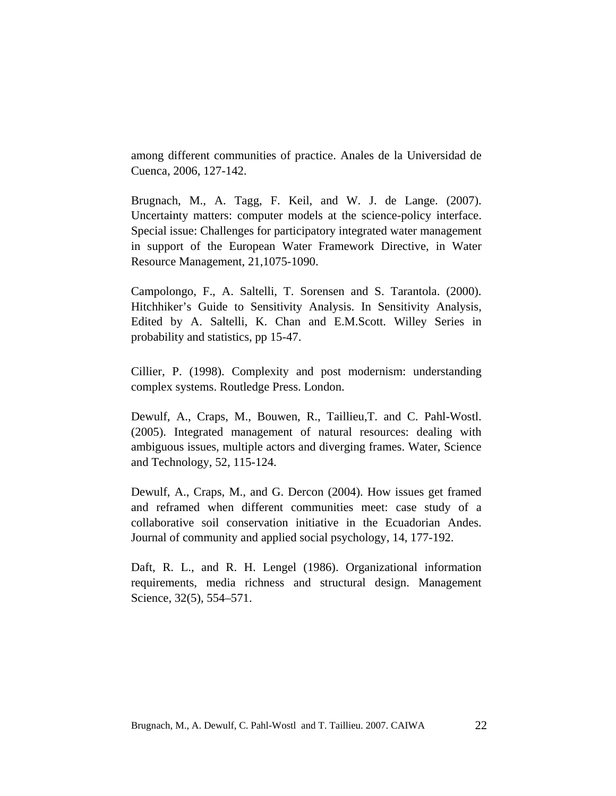among different communities of practice. Anales de la Universidad de Cuenca, 2006, 127-142.

Brugnach, M., A. Tagg, F. Keil, and W. J. de Lange. (2007). Uncertainty matters: computer models at the science-policy interface. Special issue: Challenges for participatory integrated water management in support of the European Water Framework Directive, in Water Resource Management, 21,1075-1090.

Campolongo, F., A. Saltelli, T. Sorensen and S. Tarantola. (2000). Hitchhiker's Guide to Sensitivity Analysis. In Sensitivity Analysis, Edited by A. Saltelli, K. Chan and E.M.Scott. Willey Series in probability and statistics, pp 15-47.

Cillier, P. (1998). Complexity and post modernism: understanding complex systems. Routledge Press. London.

Dewulf, A., Craps, M., Bouwen, R., Taillieu,T. and C. Pahl-Wostl. (2005). Integrated management of natural resources: dealing with ambiguous issues, multiple actors and diverging frames. Water, Science and Technology, 52, 115-124.

Dewulf, A., Craps, M., and G. Dercon (2004). How issues get framed and reframed when different communities meet: case study of a collaborative soil conservation initiative in the Ecuadorian Andes. Journal of community and applied social psychology, 14, 177-192.

Daft, R. L., and R. H. Lengel (1986). Organizational information requirements, media richness and structural design. Management Science, 32(5), 554–571.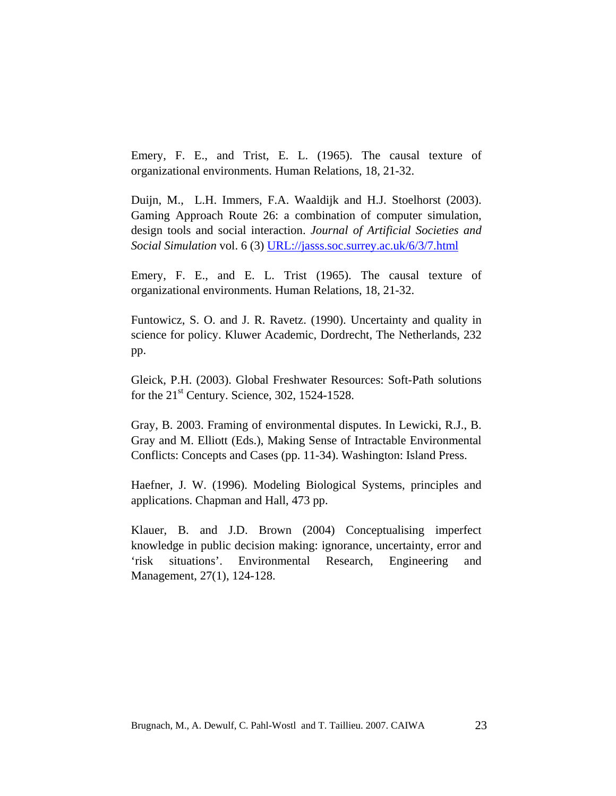Emery, F. E., and Trist, E. L. (1965). The causal texture of organizational environments. Human Relations, 18, 21-32.

Duijn, M., L.H. Immers, F.A. Waaldijk and H.J. Stoelhorst (2003). Gaming Approach Route 26: a combination of computer simulation, design tools and social interaction. *Journal of Artificial Societies and Social Simulation* vol. 6 (3) URL://jasss.soc.surrey.ac.uk/6/3/7.html

Emery, F. E., and E. L. Trist (1965). The causal texture of organizational environments. Human Relations, 18, 21-32.

Funtowicz, S. O. and J. R. Ravetz. (1990). Uncertainty and quality in science for policy. Kluwer Academic, Dordrecht, The Netherlands, 232 pp.

Gleick, P.H. (2003). Global Freshwater Resources: Soft-Path solutions for the  $21<sup>st</sup>$  Century. Science, 302, 1524-1528.

Gray, B. 2003. Framing of environmental disputes. In Lewicki, R.J., B. Gray and M. Elliott (Eds.), Making Sense of Intractable Environmental Conflicts: Concepts and Cases (pp. 11-34). Washington: Island Press.

Haefner, J. W. (1996). Modeling Biological Systems, principles and applications. Chapman and Hall, 473 pp.

Klauer, B. and J.D. Brown (2004) Conceptualising imperfect knowledge in public decision making: ignorance, uncertainty, error and 'risk situations'. Environmental Research, Engineering and Management, 27(1), 124-128.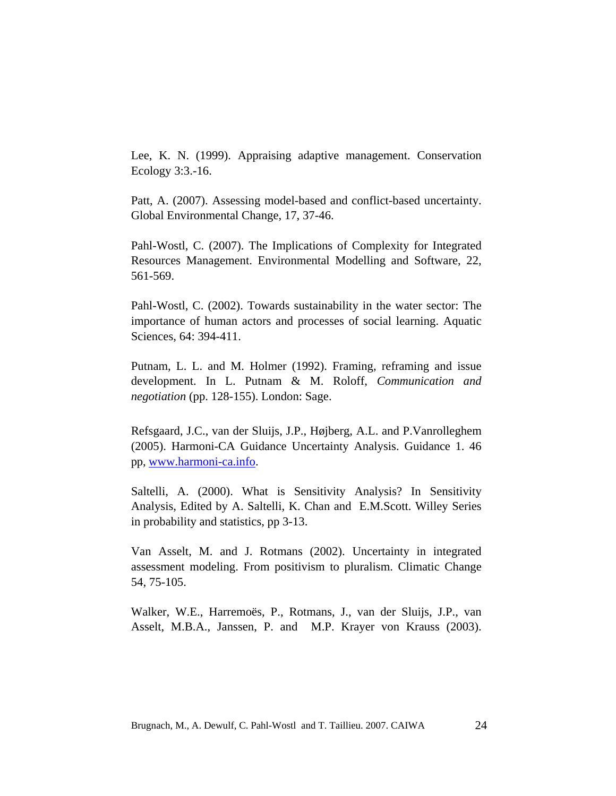Lee, K. N. (1999). Appraising adaptive management. Conservation Ecology 3:3.-16.

Patt, A. (2007). Assessing model-based and conflict-based uncertainty. Global Environmental Change, 17, 37-46.

Pahl-Wostl, C. (2007). The Implications of Complexity for Integrated Resources Management. Environmental Modelling and Software, 22, 561-569.

Pahl-Wostl, C. (2002). Towards sustainability in the water sector: The importance of human actors and processes of social learning. Aquatic Sciences, 64: 394-411.

Putnam, L. L. and M. Holmer (1992). Framing, reframing and issue development. In L. Putnam & M. Roloff, *Communication and negotiation* (pp. 128-155). London: Sage.

Refsgaard, J.C., van der Sluijs, J.P., Højberg, A.L. and P.Vanrolleghem (2005). Harmoni-CA Guidance Uncertainty Analysis. Guidance 1. 46 pp, www.harmoni-ca.info.

Saltelli, A. (2000). What is Sensitivity Analysis? In Sensitivity Analysis, Edited by A. Saltelli, K. Chan and E.M.Scott. Willey Series in probability and statistics, pp 3-13.

Van Asselt, M. and J. Rotmans (2002). Uncertainty in integrated assessment modeling. From positivism to pluralism. Climatic Change 54, 75-105.

Walker, W.E., Harremoës, P., Rotmans, J., van der Sluijs, J.P., van Asselt, M.B.A., Janssen, P. and M.P. Krayer von Krauss (2003).